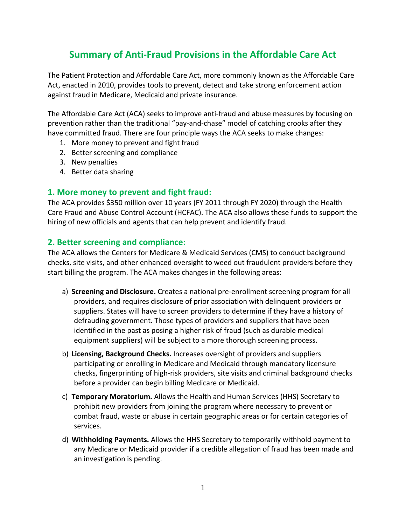# **Summary of Anti‐Fraud Provisions in the Affordable Care Act**

The Patient Protection and Affordable Care Act, more commonly known as the Affordable Care Act, enacted in 2010, provides tools to prevent, detect and take strong enforcement action against fraud in Medicare, Medicaid and private insurance.

The Affordable Care Act (ACA) seeks to improve anti‐fraud and abuse measures by focusing on prevention rather than the traditional "pay-and-chase" model of catching crooks after they have committed fraud. There are four principle ways the ACA seeks to make changes:

- 1. More money to prevent and fight fraud
- 2. Better screening and compliance
- 3. New penalties
- 4. Better data sharing

### **1. More money to prevent and fight fraud:**

The ACA provides \$350 million over 10 years (FY 2011 through FY 2020) through the Health Care Fraud and Abuse Control Account (HCFAC). The ACA also allows these funds to support the hiring of new officials and agents that can help prevent and identify fraud.

#### **2. Better screening and compliance:**

The ACA allows the Centers for Medicare & Medicaid Services (CMS) to conduct background checks, site visits, and other enhanced oversight to weed out fraudulent providers before they start billing the program. The ACA makes changes in the following areas:

- a) **Screening and Disclosure.** Creates a national pre‐enrollment screening program for all providers, and requires disclosure of prior association with delinquent providers or suppliers. States will have to screen providers to determine if they have a history of defrauding government. Those types of providers and suppliers that have been identified in the past as posing a higher risk of fraud (such as durable medical equipment suppliers) will be subject to a more thorough screening process.
- b) **Licensing, Background Checks.** Increases oversight of providers and suppliers participating or enrolling in Medicare and Medicaid through mandatory licensure checks, fingerprinting of high‐risk providers, site visits and criminal background checks before a provider can begin billing Medicare or Medicaid.
- c) **Temporary Moratorium.** Allows the Health and Human Services (HHS) Secretary to prohibit new providers from joining the program where necessary to prevent or combat fraud, waste or abuse in certain geographic areas or for certain categories of services.
- d) **Withholding Payments.** Allows the HHS Secretary to temporarily withhold payment to any Medicare or Medicaid provider if a credible allegation of fraud has been made and an investigation is pending.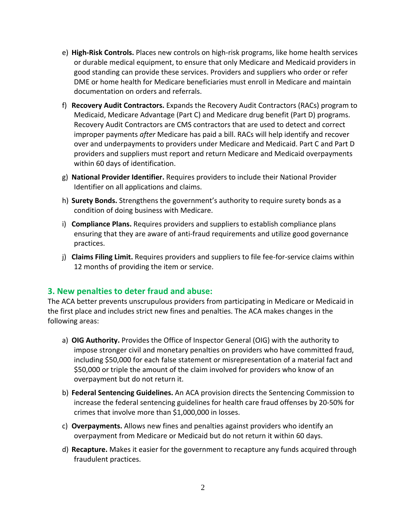- e) **High‐Risk Controls.** Places new controls on high‐risk programs, like home health services or durable medical equipment, to ensure that only Medicare and Medicaid providers in good standing can provide these services. Providers and suppliers who order or refer DME or home health for Medicare beneficiaries must enroll in Medicare and maintain documentation on orders and referrals.
- f) **Recovery Audit Contractors.** Expands the Recovery Audit Contractors (RACs) program to Medicaid, Medicare Advantage (Part C) and Medicare drug benefit (Part D) programs. Recovery Audit Contractors are CMS contractors that are used to detect and correct improper payments *after* Medicare has paid a bill. RACs will help identify and recover over and underpayments to providers under Medicare and Medicaid. Part C and Part D providers and suppliers must report and return Medicare and Medicaid overpayments within 60 days of identification.
- g) **National Provider Identifier.** Requires providers to include their National Provider Identifier on all applications and claims.
- h) **Surety Bonds.** Strengthens the government's authority to require surety bonds as a condition of doing business with Medicare.
- i) **Compliance Plans.** Requires providers and suppliers to establish compliance plans ensuring that they are aware of anti‐fraud requirements and utilize good governance practices.
- j) **Claims Filing Limit.** Requires providers and suppliers to file fee‐for‐service claims within 12 months of providing the item or service.

## **3. New penalties to deter fraud and abuse:**

The ACA better prevents unscrupulous providers from participating in Medicare or Medicaid in the first place and includes strict new fines and penalties. The ACA makes changes in the following areas:

- a) **OIG Authority.** Provides the Office of Inspector General (OIG) with the authority to impose stronger civil and monetary penalties on providers who have committed fraud, including \$50,000 for each false statement or misrepresentation of a material fact and \$50,000 or triple the amount of the claim involved for providers who know of an overpayment but do not return it.
- b) **Federal Sentencing Guidelines.** An ACA provision directs the Sentencing Commission to increase the federal sentencing guidelines for health care fraud offenses by 20‐50% for crimes that involve more than \$1,000,000 in losses.
- c) **Overpayments.** Allows new fines and penalties against providers who identify an overpayment from Medicare or Medicaid but do not return it within 60 days.
- d) **Recapture.** Makes it easier for the government to recapture any funds acquired through fraudulent practices.